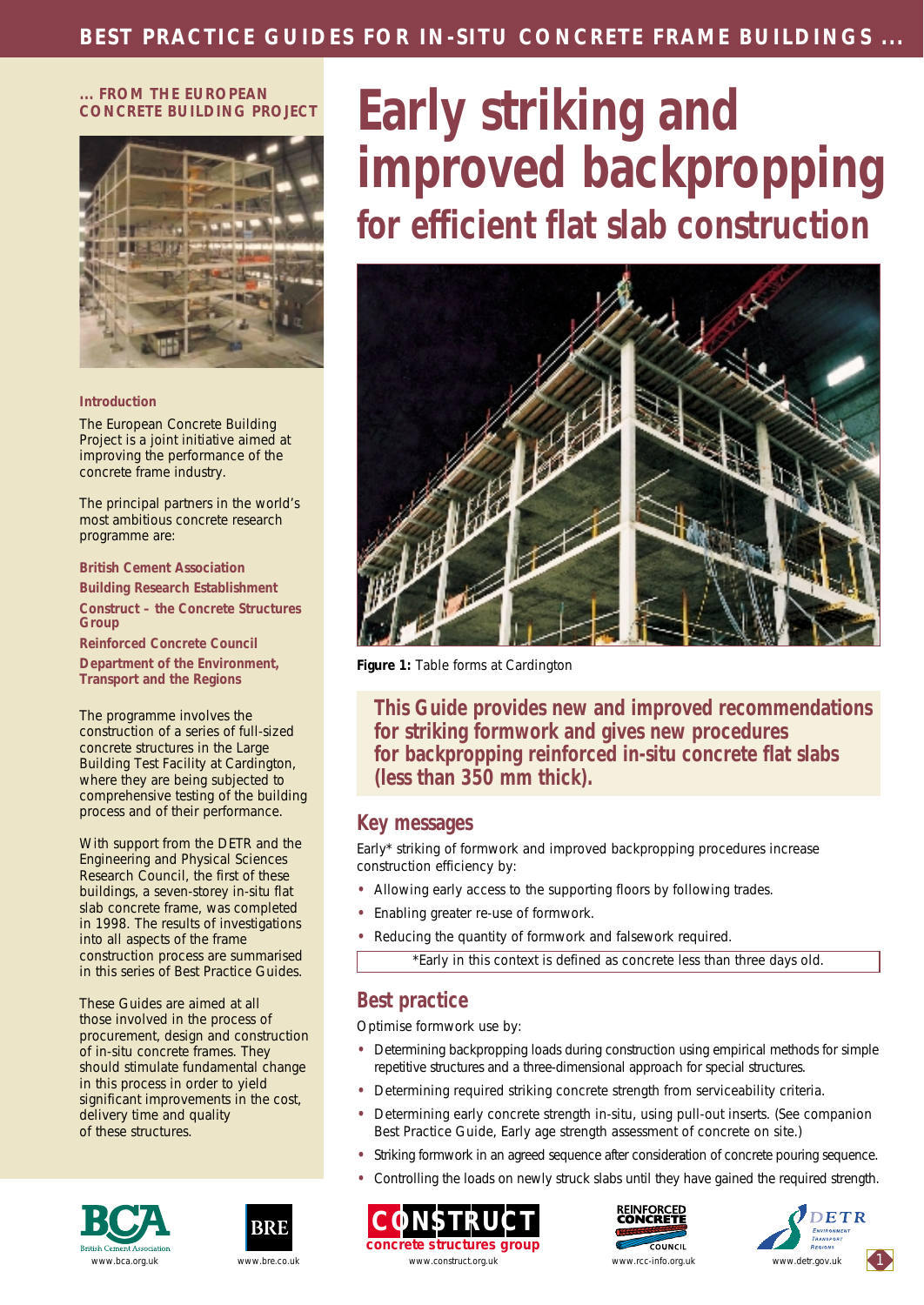## **... FROM THE EUROPEAN CONCRETE BUILDING PROJECT**



### **Introduction**

The European Concrete Building Project is a joint initiative aimed at improving the performance of the concrete frame industry.

The principal partners in the world's most ambitious concrete research programme are:

**British Cement Association Building Research Establishment Construct – the Concrete Structures Group**

**Reinforced Concrete Council Department of the Environment,**

**Transport and the Regions**

The programme involves the construction of a series of full-sized concrete structures in the Large Building Test Facility at Cardington, where they are being subjected to comprehensive testing of the building process and of their performance.

With support from the DETR and the Engineering and Physical Sciences Research Council, the first of these buildings, a seven-storey in-situ flat slab concrete frame, was completed in 1998. The results of investigations into all aspects of the frame construction process are summarised in this series of Best Practice Guides.

These Guides are aimed at all those involved in the process of procurement, design and construction of in-situ concrete frames. They should stimulate fundamental change in this process in order to yield significant improvements in the cost, delivery time and quality of these structures.





# **Early striking and improved backpropping for efficient flat slab construction**



*Figure 1: Table forms at Cardington*

**This Guide provides new and improved recommendations for striking formwork and gives new procedures for backpropping reinforced in-situ concrete flat slabs (less than 350 mm thick).**

## **Key messages**

Early\* striking of formwork and improved backpropping procedures increase construction efficiency by:

- Allowing early access to the supporting floors by following trades.
- Enabling greater re-use of formwork.
- Reducing the quantity of formwork and falsework required.

\*Early in this context is defined as concrete less than three days old.

## **Best practice**

Optimise formwork use by:

- Determining backpropping loads during construction using empirical methods for simple repetitive structures and a three-dimensional approach for special structures.
- Determining required striking concrete strength from serviceability criteria.
- Determining early concrete strength in-situ, using pull-out inserts. (See companion Best Practice Guide, *Early age strength assessment of concrete on site*.)
- Striking formwork in an agreed sequence after consideration of concrete pouring sequence.
- Controlling the loads on newly struck slabs until they have gained the required strength.





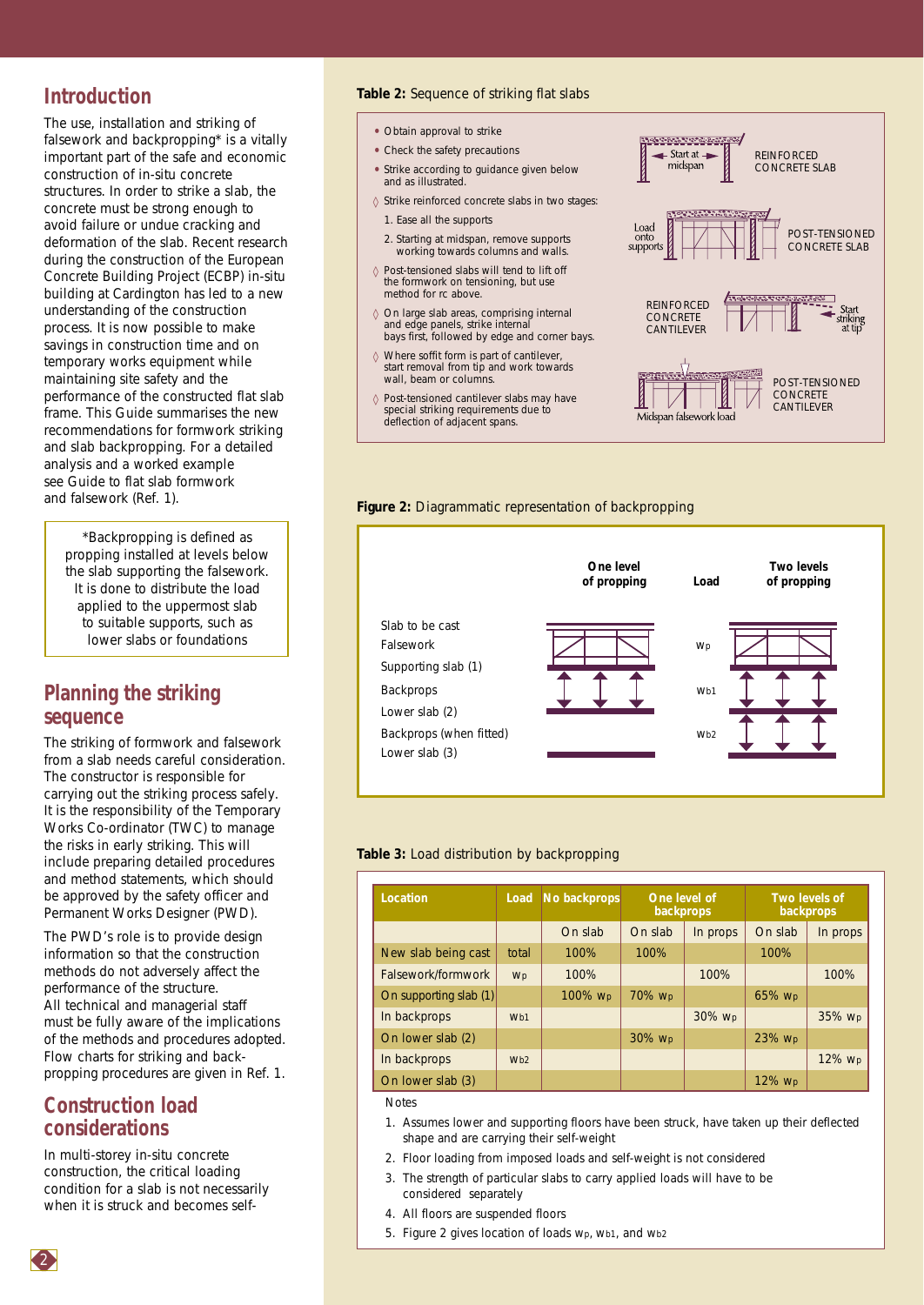# **Introduction**

The use, installation and striking of falsework and backpropping\* is a vitally important part of the safe and economic construction of in-situ concrete structures. In order to strike a slab, the concrete must be strong enough to avoid failure or undue cracking and deformation of the slab. Recent research during the construction of the European Concrete Building Project (ECBP) in-situ building at Cardington has led to a new understanding of the construction process. It is now possible to make savings in construction time and on temporary works equipment while maintaining site safety and the performance of the constructed flat slab frame. This Guide summarises the new recommendations for formwork striking and slab backpropping. For a detailed analysis and a worked example see *Guide to flat slab formwork and falsework* (Ref. 1).

\*Backpropping is defined as propping installed at levels below the slab supporting the falsework. It is done to distribute the load applied to the uppermost slab to suitable supports, such as lower slabs or foundations

# **Planning the striking sequence**

The striking of formwork and falsework from a slab needs careful consideration. The constructor is responsible for carrying out the striking process safely. It is the responsibility of the Temporary Works Co-ordinator (TWC) to manage the risks in early striking. This will include preparing detailed procedures and method statements, which should be approved by the safety officer and Permanent Works Designer (PWD).

The PWD's role is to provide design information so that the construction methods do not adversely affect the performance of the structure. All technical and managerial staff must be fully aware of the implications of the methods and procedures adopted. Flow charts for striking and backpropping procedures are given in Ref. 1.

## **Construction load considerations**

In multi-storey in-situ concrete construction, the critical loading condition for a slab is not necessarily when it is struck and becomes self-

## *Table 2: Sequence of striking flat slabs*

- Obtain approval to strike
- •Check the safety precautions
- •Strike according to guidance given below and as illustrated.
- ◊ Strike reinforced concrete slabs in two stages:
	- 1. Ease all the supports
	- 2. Starting at midspan, remove supports working towards columns and walls.
- ◊ Post-tensioned slabs will tend to lift off the formwork on tensioning, but use method for rc above.
- ◊ On large slab areas, comprising internal and edge panels, strike internal bays first, followed by edge and corner bays.
- ◊ Where soffit form is part of cantilever, start removal from tip and work towards wall, beam or columns.
- ◊ Post-tensioned cantilever slabs may have special striking requirements due to deflection of adjacent spans.







#### *Table 3: Load distribution by backpropping*

| Location               | Load  | No backprops       | One level of<br>backprops |                   | Two levels of<br>backprops |                   |
|------------------------|-------|--------------------|---------------------------|-------------------|----------------------------|-------------------|
|                        |       | On slab            | On slab                   | In props          | On slab                    | In props          |
| New slab being cast    | total | 100%               | 100%                      |                   | 100%                       |                   |
| Falsework/formwork     | Wp    | 100%               |                           | 100%              |                            | 100%              |
| On supporting slab (1) |       | 100% <sub>Wp</sub> | 70% <sub>Wp</sub>         |                   | 65% Mp                     |                   |
| In backprops           | Wb1   |                    |                           | 30% <sub>Wp</sub> |                            | 35% Mp            |
| On lower slab (2)      |       |                    | 30% <sub>Wp</sub>         |                   | 23% <sub>Wp</sub>          |                   |
| In backprops           | Wb2   |                    |                           |                   |                            | 12% <sub>Wp</sub> |
| On lower slab (3)      |       |                    |                           |                   | 12% <sub>Wp</sub>          |                   |

Notes

- 1. Assumes lower and supporting floors have been struck, have taken up their deflected shape and are carrying their self-weight
- 2. Floor loading from imposed loads and self-weight is not considered
- 3. The strength of particular slabs to carry applied loads will have to be considered separately
- 4. All floors are suspended floors
- 5. Figure 2 gives location of loads *w*p, *w*b1, and *w*b2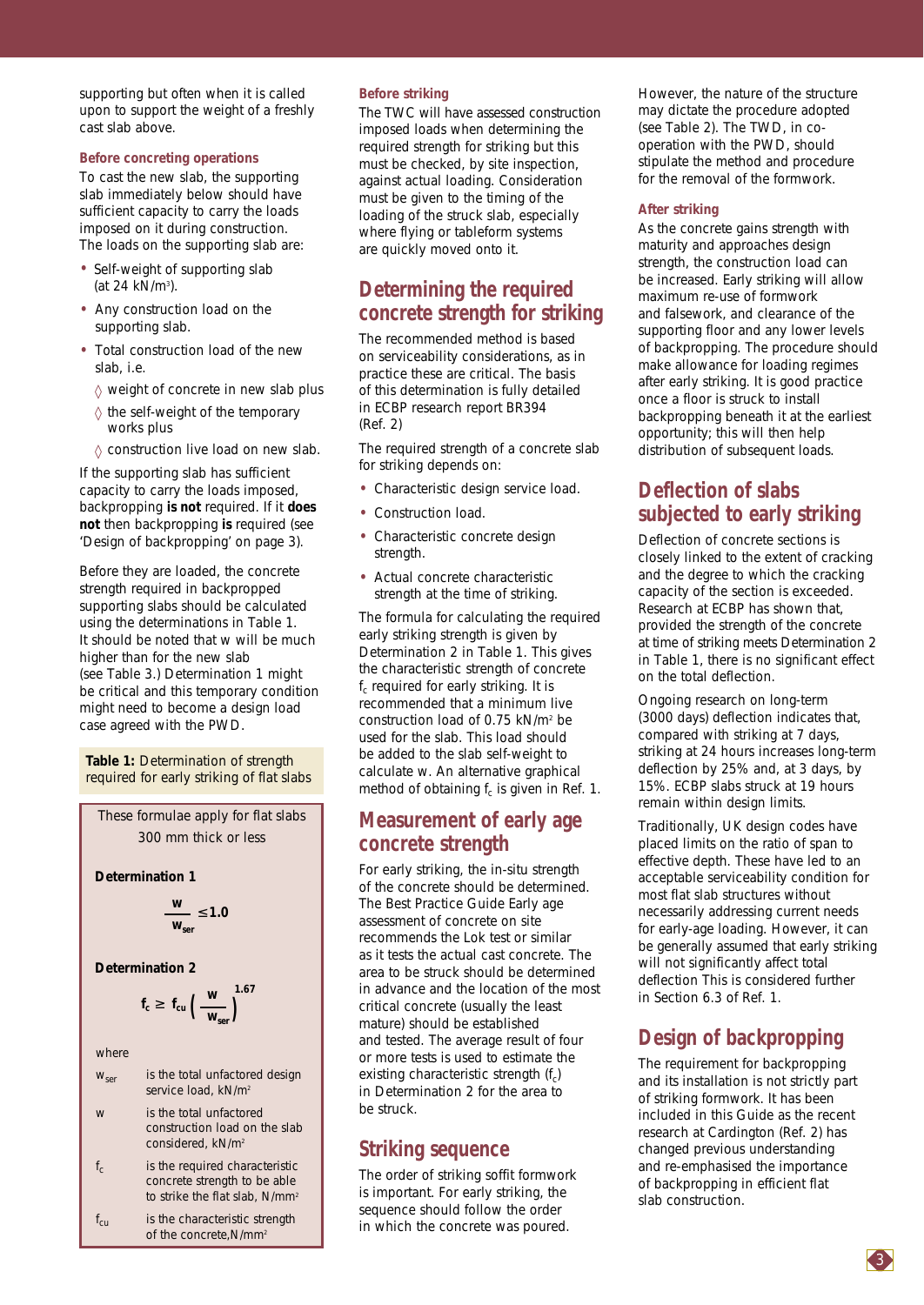supporting but often when it is called upon to support the weight of a freshly cast slab above.

### **Before concreting operations**

To cast the new slab, the supporting slab immediately below should have sufficient capacity to carry the loads imposed on it during construction. The loads on the supporting slab are:

- Self-weight of supporting slab (at 24 kN/m<sup>3</sup>).
- Any construction load on the supporting slab.
- Total construction load of the new slab, i.e.
	- ◊ weight of concrete in new slab plus
	- ◊ the self-weight of the temporary works plus
	- ◊ construction live load on new slab.

If the supporting slab has sufficient capacity to carry the loads imposed, backpropping **is not** required. If it **does not** then backpropping **is** required (see 'Design of backpropping' on page 3).

Before they are loaded, the concrete strength required in backpropped supporting slabs should be calculated using the determinations in Table 1. It should be noted that *w* will be much higher than for the new slab (see Table 3.) Determination 1 might be critical and this temporary condition might need to become a design load case agreed with the PWD.

*Table 1: Determination of strength required for early striking of flat slabs*



#### **Determination 1**

$$
\frac{w}{w_{ser}} \leq 1.0
$$

**Determination 2** 

$$
f_{\rm c} \geq f_{\rm cu} \left( \frac{w}{w_{\rm ser}} \right)^{1.67}
$$

where

| $W_{\text{ser}}$  | is the total unfactored design<br>service load, kN/m <sup>2</sup>                                            |
|-------------------|--------------------------------------------------------------------------------------------------------------|
| W                 | is the total unfactored<br>construction load on the slab<br>considered, kN/m <sup>2</sup>                    |
| $f_c$             | is the required characteristic<br>concrete strength to be able<br>to strike the flat slab, N/mm <sup>2</sup> |
| $f_{\text{crit}}$ | is the characteristic strength<br>of the concrete, N/mm <sup>2</sup>                                         |

## **Before striking**

The TWC will have assessed construction imposed loads when determining the required strength for striking but this must be checked, by site inspection, against actual loading. Consideration must be given to the timing of the loading of the struck slab, especially where flying or tableform systems are quickly moved onto it.

## **Determining the required concrete strength for striking**

The recommended method is based on serviceability considerations, as in practice these are critical. The basis of this determination is fully detailed in ECBP research report BR394 (Ref. 2)

The required strength of a concrete slab for striking depends on:

- Characteristic design service load.
- Construction load.
- Characteristic concrete design strength.
- Actual concrete characteristic strength at the time of striking.

The formula for calculating the required early striking strength is given by Determination 2 in Table 1. This gives the characteristic strength of concrete *f<sub>c</sub>* required for early striking. It is recommended that a minimum live construction load of 0.75 kN/m2 be used for the slab. This load should be added to the slab self-weight to calculate *w*. An alternative graphical method of obtaining  $f_c$  is given in Ref. 1.

## **Measurement of early age concrete strength**

For early striking, the in-situ strength of the concrete should be determined. The Best Practice Guide *Early age assessment of concrete on site* recommends the Lok test or similar as it tests the actual cast concrete. The area to be struck should be determined in advance and the location of the most critical concrete (usually the least mature) should be established and tested. The average result of four or more tests is used to estimate the existing characteristic strength ( $f_c$ ) in Determination 2 for the area to be struck.

# **Striking sequence**

The order of striking soffit formwork is important. For early striking, the sequence should follow the order in which the concrete was poured.

However, the nature of the structure may dictate the procedure adopted (see Table 2). The TWD, in cooperation with the PWD, should stipulate the method and procedure for the removal of the formwork.

## **After striking**

As the concrete gains strength with maturity and approaches design strength, the construction load can be increased. Early striking will allow maximum re-use of formwork and falsework, and clearance of the supporting floor and any lower levels of backpropping. The procedure should make allowance for loading regimes after early striking. It is good practice once a floor is struck to install backpropping beneath it at the earliest opportunity; this will then help distribution of subsequent loads.

# **Deflection of slabs subjected to early striking**

Deflection of concrete sections is closely linked to the extent of cracking and the degree to which the cracking capacity of the section is exceeded. Research at ECBP has shown that, provided the strength of the concrete at time of striking meets Determination 2 in Table 1, there is no significant effect on the total deflection.

Ongoing research on long-term (3000 days) deflection indicates that, compared with striking at 7 days, striking at 24 hours increases long-term deflection by 25% and, at 3 days, by 15%. ECBP slabs struck at 19 hours remain within design limits.

Traditionally, UK design codes have placed limits on the ratio of span to effective depth. These have led to an acceptable serviceability condition for most flat slab structures without necessarily addressing current needs for early-age loading. However, it can be generally assumed that early striking will not significantly affect total deflection This is considered further in Section 6.3 of Ref. 1.

# **Design of backpropping**

The requirement for backpropping and its installation is not strictly part of striking formwork. It has been included in this Guide as the recent research at Cardington (Ref. 2) has changed previous understanding and re-emphasised the importance of backpropping in efficient flat slab construction.